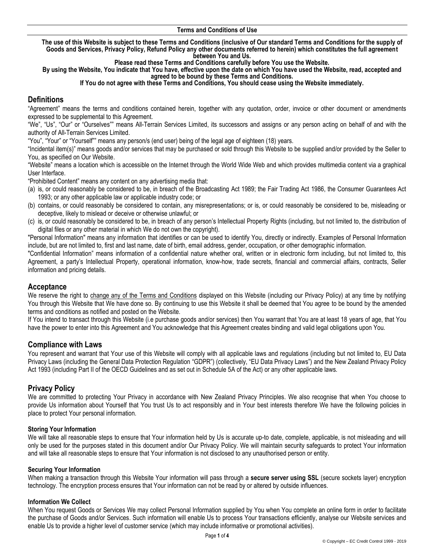#### **Terms and Conditions of Use**

**The use of this Website is subject to these Terms and Conditions (inclusive of Our standard Terms and Conditions for the supply of Goods and Services, Privacy Policy, Refund Policy any other documents referred to herein) which constitutes the full agreement between You and Us.** 

**Please read these Terms and Conditions carefully before You use the Website.** 

**By using the Website, You indicate that You have, effective upon the date on which You have used the Website, read, accepted and agreed to be bound by these Terms and Conditions.**

#### **If You do not agree with these Terms and Conditions, You should cease using the Website immediately.**

# **Definitions**

"Agreement" means the terms and conditions contained herein, together with any quotation, order, invoice or other document or amendments expressed to be supplemental to this Agreement.

"We", "Us", "Our" or "Ourselves"" means All-Terrain Services Limited, its successors and assigns or any person acting on behalf of and with the authority of All-Terrain Services Limited.

"You", "Your" or "Yourself"" means any person/s (end user) being of the legal age of eighteen (18) years.

"Incidental item(s)" means goods and/or services that may be purchased or sold through this Website to be supplied and/or provided by the Seller to You, as specified on Our Website.

"Website" means a location which is accessible on the Internet through the World Wide Web and which provides multimedia content via a graphical User Interface.

"Prohibited Content" means any content on any advertising media that:

- (a) is, or could reasonably be considered to be, in breach of the Broadcasting Act 1989; the Fair Trading Act 1986, the Consumer Guarantees Act 1993; or any other applicable law or applicable industry code; or
- (b) contains, or could reasonably be considered to contain, any misrepresentations; or is, or could reasonably be considered to be, misleading or deceptive, likely to mislead or deceive or otherwise unlawful; or
- (c) is, or could reasonably be considered to be, in breach of any person's Intellectual Property Rights (including, but not limited to, the distribution of digital files or any other material in which We do not own the copyright).

"Personal Information" means any information that identifies or can be used to identify You, directly or indirectly. Examples of Personal Information include, but are not limited to, first and last name, date of birth, email address, gender, occupation, or other demographic information.

"Confidential Information" means information of a confidential nature whether oral, written or in electronic form including, but not limited to, this Agreement, a party's Intellectual Property, operational information, know-how, trade secrets, financial and commercial affairs, contracts, Seller information and pricing details.

### **Acceptance**

We reserve the right to change any of the Terms and Conditions displayed on this Website (including our Privacy Policy) at any time by notifying You through this Website that We have done so. By continuing to use this Website it shall be deemed that You agree to be bound by the amended terms and conditions as notified and posted on the Website.

If You intend to transact through this Website (i.e purchase goods and/or services) then You warrant that You are at least 18 years of age, that You have the power to enter into this Agreement and You acknowledge that this Agreement creates binding and valid legal obligations upon You.

### **Compliance with Laws**

You represent and warrant that Your use of this Website will comply with all applicable laws and regulations (including but not limited to, EU Data Privacy Laws (including the General Data Protection Regulation "GDPR") (collectively, "EU Data Privacy Laws") and the New Zealand Privacy Policy Act 1993 (including Part II of the OECD Guidelines and as set out in Schedule 5A of the Act) or any other applicable laws.

## **Privacy Policy**

We are committed to protecting Your Privacy in accordance with New Zealand Privacy Principles. We also recognise that when You choose to provide Us information about Yourself that You trust Us to act responsibly and in Your best interests therefore We have the following policies in place to protect Your personal information.

#### **Storing Your Information**

We will take all reasonable steps to ensure that Your information held by Us is accurate up-to date, complete, applicable, is not misleading and will only be used for the purposes stated in this document and/or Our Privacy Policy. We will maintain security safeguards to protect Your information and will take all reasonable steps to ensure that Your information is not disclosed to any unauthorised person or entity.

#### **Securing Your Information**

When making a transaction through this Website Your information will pass through a **secure server using SSL** (secure sockets layer) encryption technology. The encryption process ensures that Your information can not be read by or altered by outside influences.

#### **Information We Collect**

When You request Goods or Services We may collect Personal Information supplied by You when You complete an online form in order to facilitate the purchase of Goods and/or Services. Such information will enable Us to process Your transactions efficiently, analyse our Website services and enable Us to provide a higher level of customer service (which may include informative or promotional activities).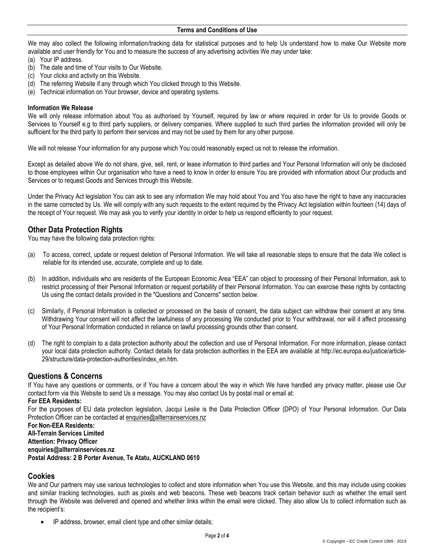We may also collect the following information/tracking data for statistical purposes and to help Us understand how to make Our Website more available and user friendly for You and to measure the success of any advertising activities We may under take:

- (a) Your IP address.
- (b) The date and time of Your visits to Our Website.
- (c) Your clicks and activity on this Website.
- (d) The referring Website if any through which You clicked through to this Website.
- (e) Technical information on Your browser, device and operating systems.

#### **Information We Release**

We will only release information about You as authorised by Yourself, required by law or where required in order for Us to provide Goods or Services to Yourself e.g to third party suppliers, or delivery companies. Where supplied to such third parties the information provided will only be sufficient for the third party to perform their services and may not be used by them for any other purpose.

We will not release Your information for any purpose which You could reasonably expect us not to release the information.

Except as detailed above We do not share, give, sell, rent, or lease information to third parties and Your Personal Information will only be disclosed to those employees within Our organisation who have a need to know in order to ensure You are provided with information about Our products and Services or to request Goods and Services through this Website.

Under the Privacy Act legislation You can ask to see any information We may hold about You and You also have the right to have any inaccuracies in the same corrected by Us. We will comply with any such requests to the extent required by the Privacy Act legislation within fourteen (14) days of the receipt of Your request. We may ask you to verify your identity in order to help us respond efficiently to your request.

## **Other Data Protection Rights**

You may have the following data protection rights:

- (a) To access, correct, update or request deletion of Personal Information. We will take all reasonable steps to ensure that the data We collect is reliable for its intended use, accurate, complete and up to date.
- (b) In addition, individuals who are residents of the European Economic Area "EEA" can object to processing of their Personal Information, ask to restrict processing of their Personal Information or request portability of their Personal Information. You can exercise these rights by contacting Us using the contact details provided in the "Questions and Concerns" section below.
- (c) Similarly, if Personal Information is collected or processed on the basis of consent, the data subject can withdraw their consent at any time. Withdrawing Your consent will not affect the lawfulness of any processing We conducted prior to Your withdrawal, nor will it affect processing of Your Personal Information conducted in reliance on lawful processing grounds other than consent.
- (d) The right to complain to a data protection authority about the collection and use of Personal Information. For more information, please contact your local data protection authority. Contact details for data protection authorities in the EEA are available at http://ec.europa.eu/justice/article-29/structure/data-protection-authorities/index\_en.htm.

## **Questions & Concerns**

If You have any questions or comments, or if You have a concern about the way in which We have handled any privacy matter, please use Our [contact form](https://mailchimp.com/contact/) via this Website to send Us a message. You may also contact Us by postal mail or email at:

#### **For EEA Residents:**

For the purposes of EU data protection legislation, Jacqui Leslie is the Data Protection Officer (DPO) of Your Personal Information. Our Data Protection Officer can be contacted at [enquiries@allterrainservices.nz](mailto:enquiries@allterrainservices.nz)

**For Non-EEA Residents: All-Terrain Services Limited Attention: Privacy Officer [enquiries@allterrainservices.nz](mailto:xxxx@xxxxxx.com) Postal Address: 2 B Porter Avenue, Te Atatu, AUCKLAND 0610**

### **Cookies**

We and Our partners may use various technologies to collect and store information when You use this Website, and this may include using cookies and similar tracking technologies, such as pixels and web beacons. These web beacons track certain behavior such as whether the email sent through the Website was delivered and opened and whether links within the email were clicked. They also allow Us to collect information such as the recipient's:

IP address, browser, email client type and other similar details;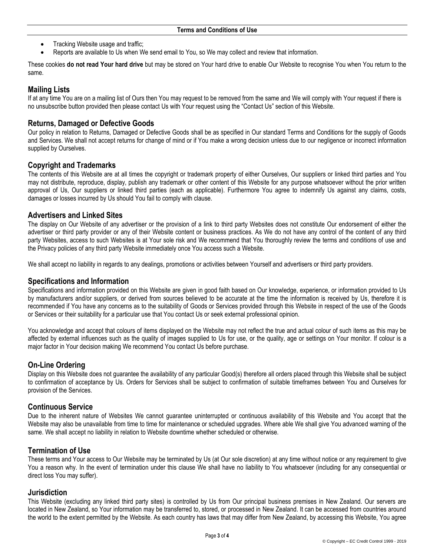- Tracking Website usage and traffic;
- Reports are available to Us when We send email to You, so We may collect and review that information.

These cookies **do not read Your hard drive** but may be stored on Your hard drive to enable Our Website to recognise You when You return to the same.

# **Mailing Lists**

If at any time You are on a mailing list of Ours then You may request to be removed from the same and We will comply with Your request if there is no unsubscribe button provided then please contact Us with Your request using the "Contact Us" section of this Website.

## **Returns, Damaged or Defective Goods**

Our policy in relation to Returns, Damaged or Defective Goods shall be as specified in Our standard Terms and Conditions for the supply of Goods and Services. We shall not accept returns for change of mind or if You make a wrong decision unless due to our negligence or incorrect information supplied by Ourselves.

## **Copyright and Trademarks**

The contents of this Website are at all times the copyright or trademark property of either Ourselves, Our suppliers or linked third parties and You may not distribute, reproduce, display, publish any trademark or other content of this Website for any purpose whatsoever without the prior written approval of Us, Our suppliers or linked third parties (each as applicable). Furthermore You agree to indemnify Us against any claims, costs, damages or losses incurred by Us should You fail to comply with clause.

### **Advertisers and Linked Sites**

The display on Our Website of any advertiser or the provision of a link to third party Websites does not constitute Our endorsement of either the advertiser or third party provider or any of their Website content or business practices. As We do not have any control of the content of any third party Websites, access to such Websites is at Your sole risk and We recommend that You thoroughly review the terms and conditions of use and the Privacy policies of any third party Website immediately once You access such a Website.

We shall accept no liability in regards to any dealings, promotions or activities between Yourself and advertisers or third party providers.

### **Specifications and Information**

Specifications and information provided on this Website are given in good faith based on Our knowledge, experience, or information provided to Us by manufacturers and/or suppliers, or derived from sources believed to be accurate at the time the information is received by Us, therefore it is recommended if You have any concerns as to the suitability of Goods or Services provided through this Website in respect of the use of the Goods or Services or their suitability for a particular use that You contact Us or seek external professional opinion.

You acknowledge and accept that colours of items displayed on the Website may not reflect the true and actual colour of such items as this may be affected by external influences such as the quality of images supplied to Us for use, or the quality, age or settings on Your monitor. If colour is a major factor in Your decision making We recommend You contact Us before purchase.

## **On-Line Ordering**

Display on this Website does not guarantee the availability of any particular Good(s) therefore all orders placed through this Website shall be subject to confirmation of acceptance by Us. Orders for Services shall be subject to confirmation of suitable timeframes between You and Ourselves for provision of the Services.

### **Continuous Service**

Due to the inherent nature of Websites We cannot guarantee uninterrupted or continuous availability of this Website and You accept that the Website may also be unavailable from time to time for maintenance or scheduled upgrades. Where able We shall give You advanced warning of the same. We shall accept no liability in relation to Website downtime whether scheduled or otherwise.

### **Termination of Use**

These terms and Your access to Our Website may be terminated by Us (at Our sole discretion) at any time without notice or any requirement to give You a reason why. In the event of termination under this clause We shall have no liability to You whatsoever (including for any consequential or direct loss You may suffer).

### **Jurisdiction**

This Website (excluding any linked third party sites) is controlled by Us from Our principal business premises in New Zealand. Our servers are located in New Zealand, so Your information may be transferred to, stored, or processed in New Zealand. It can be accessed from countries around the world to the extent permitted by the Website. As each country has laws that may differ from New Zealand, by accessing this Website, You agree